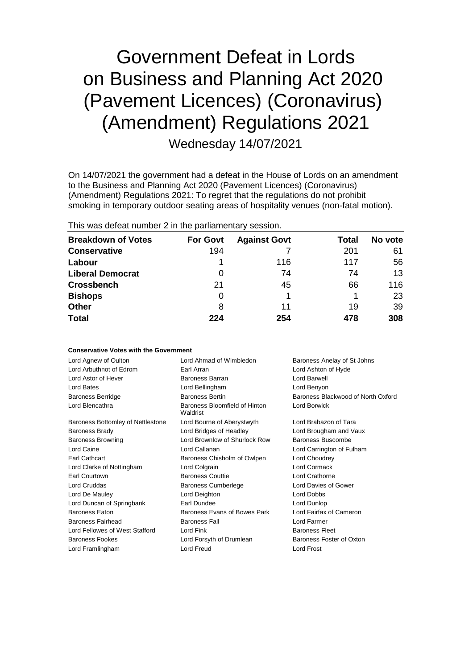# Government Defeat in Lords on Business and Planning Act 2020 (Pavement Licences) (Coronavirus) (Amendment) Regulations 2021

Wednesday 14/07/2021

On 14/07/2021 the government had a defeat in the House of Lords on an amendment to the Business and Planning Act 2020 (Pavement Licences) (Coronavirus) (Amendment) Regulations 2021: To regret that the regulations do not prohibit smoking in temporary outdoor seating areas of hospitality venues (non-fatal motion).

| THIS WAS GETERLITUTINGLE IN THE PAILMANICHMALY SESSION. |                 |                     |       |         |  |
|---------------------------------------------------------|-----------------|---------------------|-------|---------|--|
| <b>Breakdown of Votes</b>                               | <b>For Govt</b> | <b>Against Govt</b> | Total | No vote |  |
| <b>Conservative</b>                                     | 194             |                     | 201   | 61      |  |
| Labour                                                  |                 | 116                 | 117   | 56      |  |
| <b>Liberal Democrat</b>                                 | 0               | 74                  | 74    | 13      |  |
| <b>Crossbench</b>                                       | 21              | 45                  | 66    | 116     |  |
| <b>Bishops</b>                                          | 0               |                     |       | 23      |  |
| <b>Other</b>                                            | 8               | 11                  | 19    | 39      |  |
| <b>Total</b>                                            | 224             | 254                 | 478   | 308     |  |

This was defeat number 2 in the parliamentary session.

## **Conservative Votes with the Government**

| Lord Agnew of Oulton              | Lord Ahmad of Wimbledon                   | Baroness Anelay of St Johns        |  |
|-----------------------------------|-------------------------------------------|------------------------------------|--|
| Lord Arbuthnot of Edrom           | Earl Arran                                | Lord Ashton of Hyde                |  |
| Lord Astor of Hever               | Baroness Barran                           | Lord Barwell                       |  |
| Lord Bates                        | Lord Bellingham                           | Lord Benyon                        |  |
| <b>Baroness Berridge</b>          | <b>Baroness Bertin</b>                    | Baroness Blackwood of North Oxford |  |
| Lord Blencathra                   | Baroness Bloomfield of Hinton<br>Waldrist | Lord Borwick                       |  |
| Baroness Bottomley of Nettlestone | Lord Bourne of Aberystwyth                | Lord Brabazon of Tara              |  |
| <b>Baroness Brady</b>             | Lord Bridges of Headley                   | Lord Brougham and Vaux             |  |
| <b>Baroness Browning</b>          | Lord Brownlow of Shurlock Row             | Baroness Buscombe                  |  |
| Lord Caine                        | Lord Callanan                             | Lord Carrington of Fulham          |  |
| Earl Cathcart                     | Baroness Chisholm of Owlpen               | Lord Choudrey                      |  |
| Lord Clarke of Nottingham         | Lord Colgrain                             | Lord Cormack                       |  |
| Earl Courtown                     | <b>Baroness Couttie</b>                   | Lord Crathorne                     |  |
| <b>Lord Cruddas</b>               | <b>Baroness Cumberlege</b>                | Lord Davies of Gower               |  |
| Lord De Mauley                    | Lord Deighton                             | Lord Dobbs                         |  |
| Lord Duncan of Springbank         | Earl Dundee                               | Lord Dunlop                        |  |
| <b>Baroness Eaton</b>             | Baroness Evans of Bowes Park              | Lord Fairfax of Cameron            |  |
| Baroness Fairhead                 | <b>Baroness Fall</b>                      | Lord Farmer                        |  |
| Lord Fellowes of West Stafford    | Lord Fink                                 | <b>Baroness Fleet</b>              |  |
| <b>Baroness Fookes</b>            | Lord Forsyth of Drumlean                  | Baroness Foster of Oxton           |  |
| Lord Framlingham                  | <b>Lord Freud</b>                         | Lord Frost                         |  |
|                                   |                                           |                                    |  |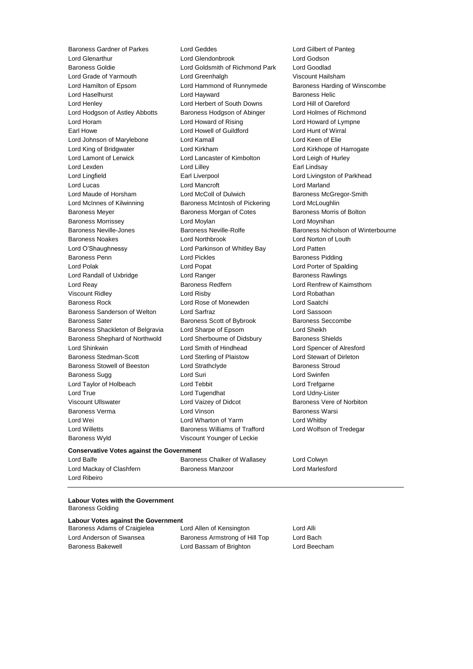Baroness Gardner of Parkes Lord Geddes Lord Gilbert of Panteg Lord Glenarthur **Lord Glendonbrook** Lord Godson<br>
Baroness Goldie **Lord Goldsmith of Richmond Park** Lord Goodlad Lord Grade of Yarmouth Lord Greenhalgh Viscount Hailsham Lord Hamilton of Epsom Lord Hammond of Runnymede Baroness Harding of Winscombe Lord Haselhurst **Lord Hayward** Baroness Helic Lord Henley Lord Herbert of South Downs Lord Hill of Oareford Lord Hodgson of Astley Abbotts Baroness Hodgson of Abinger Lord Holmes of Richmond Lord Horam Lord Howard of Rising Lord Howard of Lympne Earl Howe Lord Howell of Guildford Lord Hunt of Wirral Lord Johnson of Marylebone Lord Kamall Lord Keen of Elie Lord King of Bridgwater **Lord Kirkham** Lord Kirkham Lord Kirkhope of Harrogate Lord Lamont of Lerwick Lord Lancaster of Kimbolton Lord Leigh of Hurley Lord Lexden **Lord Lilley Calculate Lord Lilley Earl Lindsay** Lord Lingfield **Earl Liverpool** Earl Liverpool **Lord Livingston of Parkhead** Lord Lucas Lord Mancroft Lord Marland Lord Maude of Horsham Lord McColl of Dulwich Baroness McGregor-Smith Lord McInnes of Kilwinning Baroness McIntosh of Pickering Lord McLoughlin Baroness Meyer **Baroness Morgan of Cotes** Baroness Morris of Bolton Baroness Morrissey Lord Moylan Lord Moynihan Baroness Neville-Jones **Baroness Neville-Rolfe** Baroness Nicholson of Winterbourne Baroness Noakes Lord Northbrook Lord Norton of Louth Lord O'Shaughnessy Lord Parkinson of Whitley Bay Lord Patten Baroness Penn **Exercise Set Exercise Set Access** Lord Pickles **Baroness Pidding** Lord Polak Lord Popat Lord Porter of Spalding Lord Randall of Uxbridge **Lord Ranger** Lord Ranger **Baroness Rawlings** Lord Reay **Baroness Redfern Baroness Redfern** Lord Renfrew of Kaimsthorn Viscount Ridley Lord Risby Lord Robathan Baroness Rock Lord Rose of Monewden Lord Saatchi Baroness Sanderson of Welton Lord Sarfraz Lord Sassoon Baroness Sater **Baroness Scott of Bybrook** Baroness Seccombe Baroness Shackleton of Belgravia Lord Sharpe of Epsom Lord Sheikh Baroness Shephard of Northwold Lord Sherbourne of Didsbury Baroness Shields Lord Shinkwin Lord Smith of Hindhead Lord Spencer of Alresford Baroness Stedman-Scott Lord Sterling of Plaistow Lord Stewart of Dirleton Baroness Stowell of Beeston Lord Strathclyde Baroness Stroud Baroness Sugg 
and Lord Suri Communication Communication Communication Communication Communication Communication Communication Communication Communication Communication Communication Communication Communication Communicati Lord Taylor of Holbeach Lord Tebbit Lord Trefgarne Lord True Lord Tugendhat Lord Udny-Lister Viscount Ullswater **Lord Vaizey of Didcot** Baroness Vere of Norbiton Baroness Verma Lord Vinson Baroness Warsi Lord Wei Lord Wharton of Yarm Lord Whitby Lord Willetts Baroness Williams of Trafford Lord Wolfson of Tredegar Baroness Wyld Viscount Younger of Leckie

Lord Goldsmith of Richmond Park

## **Conservative Votes against the Government**

Lord Mackay of Clashfern Baroness Manzoor Lord Marlesford Lord Ribeiro

Lord Balfe **Baroness Chalker of Wallasey** Lord Colwyn

#### **Labour Votes with the Government** Baroness Golding

# **Labour Votes against the Government**

Baroness Adams of Craigielea Lord Allen of Kensington Lord Alli

Lord Anderson of Swansea **Baroness Armstrong of Hill Top** Lord Bach Baroness Bakewell Lord Bassam of Brighton Lord Beecham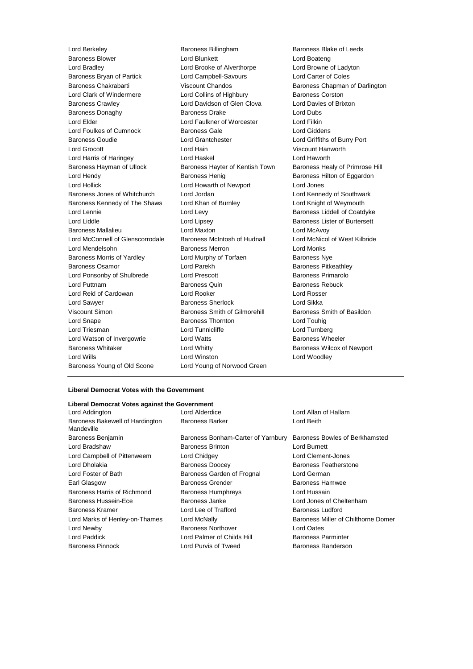Lord Berkeley **Baroness Billingham** Baroness Billingham Baroness Blake of Leeds Baroness Blower Lord Blunkett Lord Boateng Lord Bradley Lord Brooke of Alverthorpe Lord Browne of Ladyton Baroness Bryan of Partick Lord Campbell-Savours Lord Carter of Coles Baroness Chakrabarti Viscount Chandos Baroness Chapman of Darlington Lord Clark of Windermere **Lord Collins of Highbury** Baroness Corston Baroness Crawley Lord Davidson of Glen Clova Lord Davies of Brixton Baroness Donaghy **Baroness Drake** Lord Dubs Lord Elder Lord Faulkner of Worcester Lord Filkin Lord Foulkes of Cumnock Baroness Gale Lord Giddens Baroness Goudie Lord Grantchester Lord Griffiths of Burry Port Lord Grocott Lord Hain Viscount Hanworth Lord Harris of Haringey Lord Haskel Lord Haworth Baroness Hayman of Ullock Baroness Hayter of Kentish Town Baroness Healy of Primrose Hill Lord Hendy **Baroness Henig** Baroness Henig Baroness Hilton of Eggardon Lord Hollick Lord Howarth of Newport Lord Jones Baroness Jones of Whitchurch Lord Jordan Lord Kennedy of Southwark Baroness Kennedy of The Shaws Lord Khan of Burnley **Lord Knight of Weymouth** Lord Lennie **Lord Levy** Lord Levy **Baroness Liddell of Coatdyke** Lord Liddle Lord Lipsey Baroness Lister of Burtersett Baroness Mallalieu Lord Maxton Lord McAvoy Lord McConnell of Glenscorrodale Baroness McIntosh of Hudnall Lord McNicol of West Kilbride Lord Mendelsohn Baroness Merron Lord Monks Baroness Morris of Yardley **Lord Murphy of Torfaen** Baroness Nye Baroness Osamor **Baroness** Content Lord Parekh Baroness Pitkeathley Lord Ponsonby of Shulbrede Lord Prescott Baroness Primarolo Lord Puttnam Baroness Quin Baroness Rebuck Lord Reid of Cardowan Lord Rooker Lord Rosser Lord Sawyer **Baroness Sherlock** Lord Sikka Viscount Simon **Baroness Smith of Gilmorehill** Baroness Smith of Basildon Lord Snape Baroness Thornton Lord Touhig Lord Triesman **Lord Tunnicliffe** Lord Turnberg Lord Turnberg Lord Watson of Invergowrie **Lord Watts Baroness Wheeler** Baroness Whitaker **Lord Whitty Lord Whitty** Baroness Wilcox of Newport Lord Wills Lord Winston Lord Woodley Baroness Young of Old Scone Lord Young of Norwood Green

# **Liberal Democrat Votes with the Government**

#### **Liberal Democrat Votes against the Government**

| Lord Addington                                |
|-----------------------------------------------|
| Baroness Bakewell of Hardington<br>Mandeville |
| <b>Baroness Benjamin</b>                      |
| Lord Bradshaw                                 |
| Lord Campbell of Pittenweem                   |
| Lord Dholakia                                 |
| Lord Foster of Bath                           |
| Earl Glasgow                                  |
| Baroness Harris of Richmond                   |
| Baroness Hussein-Ece                          |
| Baroness Kramer                               |
| Lord Marks of Henley-on-Thames                |
| Lord Newby                                    |
| Lord Paddick                                  |
| Baroness Pinnock                              |

Baroness Bonham-Carter of Yarnbury Baroness Bowles of Berkhamsted Baroness Brinton Lord Burnett Lord Chidgey **Lord Clement-Jones** Baroness Doocey **Baroness Featherstone** Baroness Garden of Frognal Lord German Baroness Grender Baroness Hamwee Baroness Humphreys **Lord Hussain** Baroness Janke Lord Jones of Cheltenham Lord Lee of Trafford Baroness Ludford Baroness Northover **Lord Oates** Lord Palmer of Childs Hill Baroness Parminter Lord Purvis of Tweed Baroness Randerson

Lord Alderdice **Lord Allan of Hallam** Baroness Barker Lord Beith

Lord McNally **Arks of Henley-On-Thames Chilthorne Domer** Baroness Miller of Chilthorne Domer